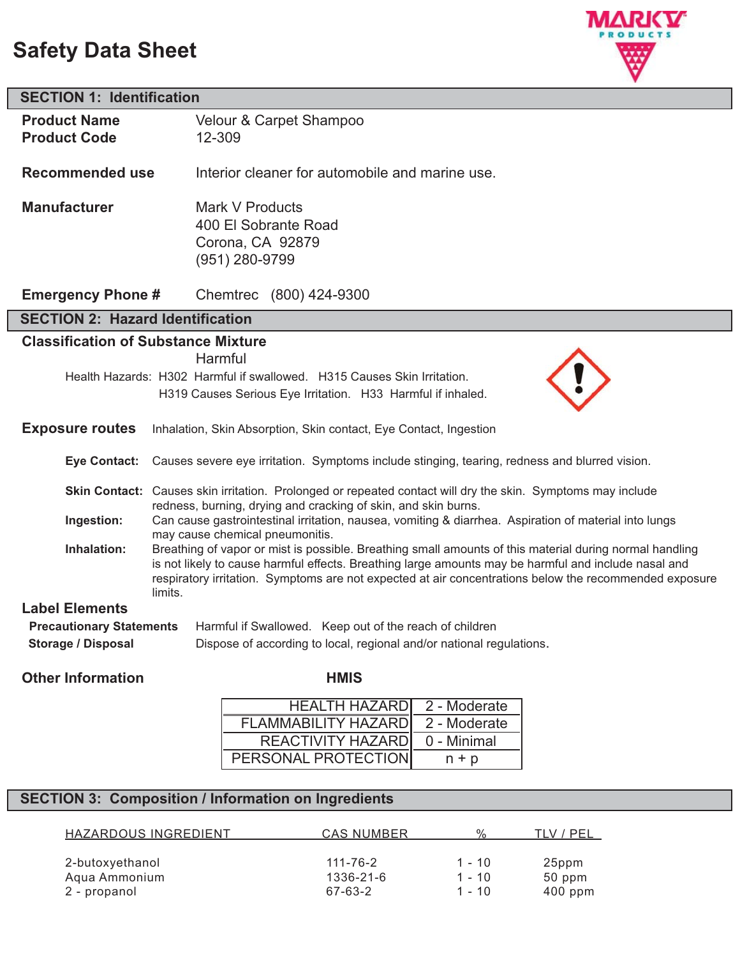# **Safety Data Sheet**



| <b>SECTION 1: Identification</b>                             |                                                                                                                                                                                                                                                                                                                                                                                                                                                                                                                                                    |  |
|--------------------------------------------------------------|----------------------------------------------------------------------------------------------------------------------------------------------------------------------------------------------------------------------------------------------------------------------------------------------------------------------------------------------------------------------------------------------------------------------------------------------------------------------------------------------------------------------------------------------------|--|
| <b>Product Name</b><br><b>Product Code</b>                   | Velour & Carpet Shampoo<br>12-309                                                                                                                                                                                                                                                                                                                                                                                                                                                                                                                  |  |
| <b>Recommended use</b>                                       | Interior cleaner for automobile and marine use.                                                                                                                                                                                                                                                                                                                                                                                                                                                                                                    |  |
| <b>Manufacturer</b>                                          | Mark V Products<br>400 El Sobrante Road<br>Corona, CA 92879<br>(951) 280-9799                                                                                                                                                                                                                                                                                                                                                                                                                                                                      |  |
| <b>Emergency Phone #</b>                                     | Chemtrec (800) 424-9300                                                                                                                                                                                                                                                                                                                                                                                                                                                                                                                            |  |
| <b>SECTION 2: Hazard Identification</b>                      |                                                                                                                                                                                                                                                                                                                                                                                                                                                                                                                                                    |  |
| <b>Classification of Substance Mixture</b>                   |                                                                                                                                                                                                                                                                                                                                                                                                                                                                                                                                                    |  |
| <b>Exposure routes</b>                                       | Harmful<br>Health Hazards: H302 Harmful if swallowed. H315 Causes Skin Irritation.<br>H319 Causes Serious Eye Irritation. H33 Harmful if inhaled.<br>Inhalation, Skin Absorption, Skin contact, Eye Contact, Ingestion                                                                                                                                                                                                                                                                                                                             |  |
| <b>Eye Contact:</b>                                          | Causes severe eye irritation. Symptoms include stinging, tearing, redness and blurred vision.                                                                                                                                                                                                                                                                                                                                                                                                                                                      |  |
|                                                              | Skin Contact: Causes skin irritation. Prolonged or repeated contact will dry the skin. Symptoms may include                                                                                                                                                                                                                                                                                                                                                                                                                                        |  |
| Ingestion:                                                   | redness, burning, drying and cracking of skin, and skin burns.<br>Can cause gastrointestinal irritation, nausea, vomiting & diarrhea. Aspiration of material into lungs<br>may cause chemical pneumonitis.<br>Breathing of vapor or mist is possible. Breathing small amounts of this material during normal handling<br>is not likely to cause harmful effects. Breathing large amounts may be harmful and include nasal and<br>respiratory irritation. Symptoms are not expected at air concentrations below the recommended exposure<br>limits. |  |
| Inhalation:                                                  |                                                                                                                                                                                                                                                                                                                                                                                                                                                                                                                                                    |  |
| <b>Label Elements</b>                                        |                                                                                                                                                                                                                                                                                                                                                                                                                                                                                                                                                    |  |
| <b>Precautionary Statements</b><br><b>Storage / Disposal</b> | Harmful if Swallowed. Keep out of the reach of children<br>Dispose of according to local, regional and/or national regulations.                                                                                                                                                                                                                                                                                                                                                                                                                    |  |
|                                                              |                                                                                                                                                                                                                                                                                                                                                                                                                                                                                                                                                    |  |

## **Other Information HMIS**

| <b>HEALTH HAZARDI</b>      | 2 - Moderate |
|----------------------------|--------------|
| <b>FLAMMABILITY HAZARD</b> | 2 - Moderate |
| REACTIVITY HAZARD          | 0 - Minimal  |
| PERSONAL PROTECTION        | $n + p$      |

# **SECTION 3: Composition / Information on Ingredients**

| HAZARDOUS INGREDIENT | <b>CAS NUMBER</b> | $\frac{1}{2}$ | / PEL<br>TI V |
|----------------------|-------------------|---------------|---------------|
| 2-butoxyethanol      | 111-76-2          | $1 - 10$      | 25ppm         |
| Aqua Ammonium        | 1336-21-6         | 1 - 10        | 50 ppm        |
| 2 - propanol         | 67-63-2           | 1 - 10        | $400$ ppm     |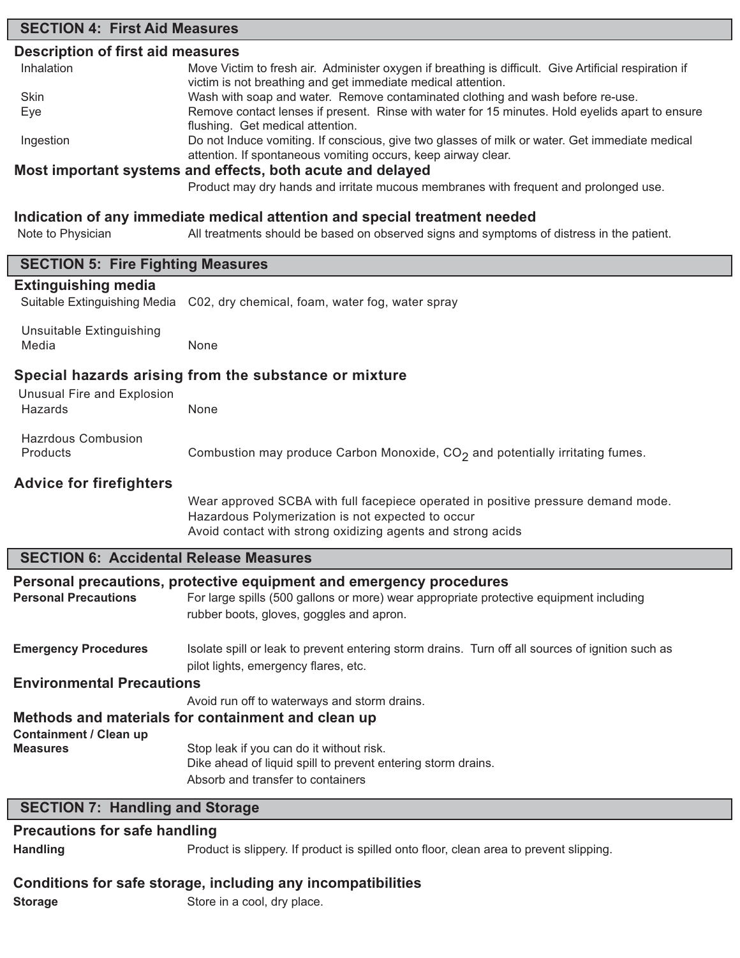# **SECTION 4: First Aid Measures Description of first aid measures** Inhalation Move Victim to fresh air. Administer oxygen if breathing is difficult. Give Artificial respiration if victim is not breathing and get immediate medical attention. Skin **Example 3 and Wash with soap and water.** Remove contaminated clothing and wash before re-use. Eye **Remove contact lenses if present.** Rinse with water for 15 minutes. Hold eyelids apart to ensure flushing. Get medical attention. Ingestion Do not Induce vomiting. If conscious, give two glasses of milk or water. Get immediate medical attention. If spontaneous vomiting occurs, keep airway clear. **Most important systems and effects, both acute and delayed** Product may dry hands and irritate mucous membranes with frequent and prolonged use. **Indication of any immediate medical attention and special treatment needed** Note to Physician All treatments should be based on observed signs and symptoms of distress in the patient. **SECTION 5: Fire Fighting Measures Extinguishing media** Suitable Extinguishing Media C02, dry chemical, foam, water fog, water spray Unsuitable Extinguishing Media None **Special hazards arising from the substance or mixture** Unusual Fire and Explosion Hazards None Hazrdous Combusion Products **Combustion may produce Carbon Monoxide, CO<sub>2</sub> and potentially irritating fumes. Advice for firefighters** Wear approved SCBA with full facepiece operated in positive pressure demand mode. Hazardous Polymerization is not expected to occur Avoid contact with strong oxidizing agents and strong acids **SECTION 6: Accidental Release Measures Personal precautions, protective equipment and emergency procedures** Personal Precautions For large spills (500 gallons or more) wear appropriate protective equipment including rubber boots, gloves, goggles and apron. **Emergency Procedures** Isolate spill or leak to prevent entering storm drains. Turn off all sources of ignition such as pilot lights, emergency flares, etc. **Environmental Precautions** Avoid run off to waterways and storm drains. **Methods and materials for containment and clean up Containment / Clean up Measures** Stop leak if you can do it without risk. Dike ahead of liquid spill to prevent entering storm drains. Absorb and transfer to containers **SECTION 7: Handling and Storage**

### **Precautions for safe handling**

**Handling** Product is slippery. If product is spilled onto floor, clean area to prevent slipping.

### **Conditions for safe storage, including any incompatibilities**

**Storage** Store in a cool, dry place.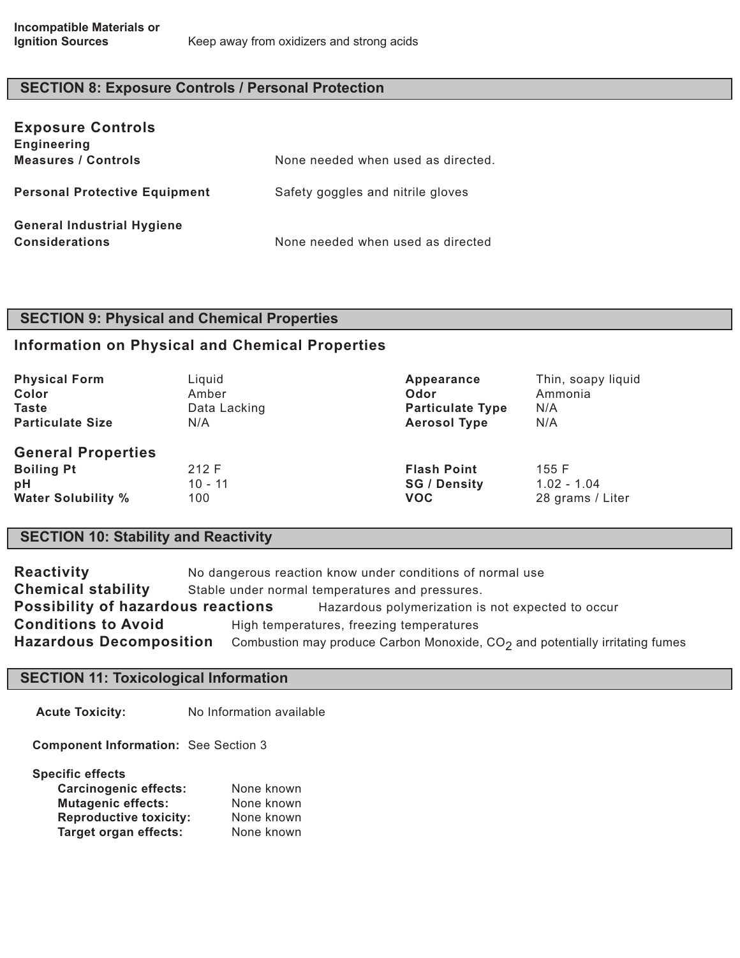# **SECTION 8: Exposure Controls / Personal Protection**

| <b>Exposure Controls</b><br><b>Engineering</b>             |                                    |
|------------------------------------------------------------|------------------------------------|
| <b>Measures / Controls</b>                                 | None needed when used as directed. |
| <b>Personal Protective Equipment</b>                       | Safety goggles and nitrile gloves  |
| <b>General Industrial Hygiene</b><br><b>Considerations</b> | None needed when used as directed  |

# **SECTION 9: Physical and Chemical Properties**

### **Information on Physical and Chemical Properties**

| <b>Physical Form</b>                                                              | Liquid                    | Appearance                                              | Thin, soapy liquid                         |
|-----------------------------------------------------------------------------------|---------------------------|---------------------------------------------------------|--------------------------------------------|
| Color                                                                             | Amber                     | Odor                                                    | Ammonia                                    |
| <b>Taste</b>                                                                      | Data Lacking              | <b>Particulate Type</b>                                 | N/A                                        |
| <b>Particulate Size</b>                                                           | N/A                       | <b>Aerosol Type</b>                                     | N/A                                        |
| <b>General Properties</b><br><b>Boiling Pt</b><br>pH<br><b>Water Solubility %</b> | 212 F<br>$10 - 11$<br>100 | <b>Flash Point</b><br><b>SG / Density</b><br><b>VOC</b> | 155 F<br>$1.02 - 1.04$<br>28 grams / Liter |

# **SECTION 10: Stability and Reactivity**

| <b>Reactivity</b>                         | No dangerous reaction know under conditions of normal use                      |  |
|-------------------------------------------|--------------------------------------------------------------------------------|--|
| <b>Chemical stability</b>                 | Stable under normal temperatures and pressures.                                |  |
| <b>Possibility of hazardous reactions</b> | Hazardous polymerization is not expected to occur                              |  |
| <b>Conditions to Avoid</b>                | High temperatures, freezing temperatures                                       |  |
| <b>Hazardous Decomposition</b>            | Combustion may produce Carbon Monoxide, $CO2$ and potentially irritating fumes |  |

### **SECTION 11: Toxicological Information**

**Acute Toxicity:** No Information available

**Component Information:** See Section 3

**Specific effects**

| <b>Carcinogenic effects:</b>  | None known |
|-------------------------------|------------|
| <b>Mutagenic effects:</b>     | None known |
| <b>Reproductive toxicity:</b> | None known |
| <b>Target organ effects:</b>  | None known |